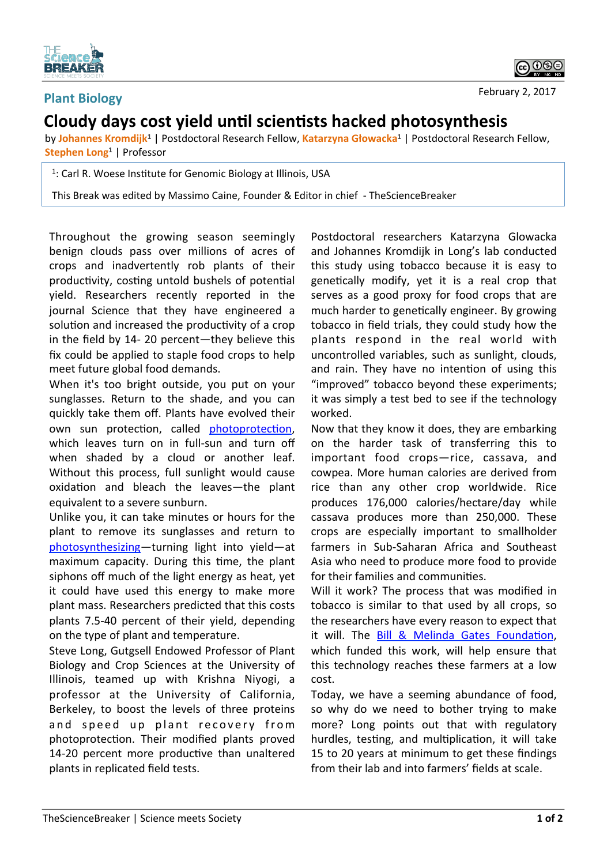

## **Plant Biology**

February 2, 2017

<u>ଇ ଚଛ</u>

## **Cloudy** days cost yield until scientists hacked photosynthesis

by Johannes Kromdijk<sup>1</sup> | Postdoctoral Research Fellow, Katarzyna Głowacka<sup>1</sup> | Postdoctoral Research Fellow, **Stephen Long<sup>1</sup>** | Professor

<sup>1</sup>: Carl R. Woese Institute for Genomic Biology at Illinois, USA

This Break was edited by Massimo Caine, Founder & Editor in chief - TheScienceBreaker

Throughout the growing season seemingly benign clouds pass over millions of acres of crops and inadvertently rob plants of their productivity, costing untold bushels of potential yield. Researchers recently reported in the journal Science that they have engineered a solution and increased the productivity of a crop in the field by  $14-20$  percent—they believe this fix could be applied to staple food crops to help meet future global food demands.

When it's too bright outside, you put on your sunglasses. Return to the shade, and you can quickly take them off. Plants have evolved their own sun protection, called photoprotection, which leaves turn on in full-sun and turn off when shaded by a cloud or another leaf. Without this process, full sunlight would cause oxidation and bleach the leaves-the plant equivalent to a severe sunburn.

Unlike you, it can take minutes or hours for the plant to remove its sunglasses and return to photosynthesizing—turning light into yield—at maximum capacity. During this time, the plant siphons off much of the light energy as heat, yet it could have used this energy to make more plant mass. Researchers predicted that this costs plants 7.5-40 percent of their yield, depending on the type of plant and temperature.

Steve Long, Gutgsell Endowed Professor of Plant Biology and Crop Sciences at the University of Illinois, teamed up with Krishna Niyogi, a professor at the University of California, Berkeley, to boost the levels of three proteins and speed up plant recovery from photoprotection. Their modified plants proved 14-20 percent more productive than unaltered plants in replicated field tests.

Postdoctoral researchers Katarzyna Glowacka and Johannes Kromdijk in Long's lab conducted this study using tobacco because it is easy to genetically modify, yet it is a real crop that serves as a good proxy for food crops that are much harder to genetically engineer. By growing tobacco in field trials, they could study how the plants respond in the real world with uncontrolled variables, such as sunlight, clouds, and rain. They have no intention of using this "improved" tobacco beyond these experiments; it was simply a test bed to see if the technology worked. 

Now that they know it does, they are embarking on the harder task of transferring this to important food crops-rice, cassava, and cowpea. More human calories are derived from rice than any other crop worldwide. Rice produces 176,000 calories/hectare/day while cassava produces more than 250,000. These crops are especially important to smallholder farmers in Sub-Saharan Africa and Southeast Asia who need to produce more food to provide for their families and communities.

Will it work? The process that was modified in tobacco is similar to that used by all crops, so the researchers have every reason to expect that it will. The Bill & Melinda Gates Foundation, which funded this work, will help ensure that this technology reaches these farmers at a low cost. 

Today, we have a seeming abundance of food, so why do we need to bother trying to make more? Long points out that with regulatory hurdles, testing, and multiplication, it will take 15 to 20 years at minimum to get these findings from their lab and into farmers' fields at scale.